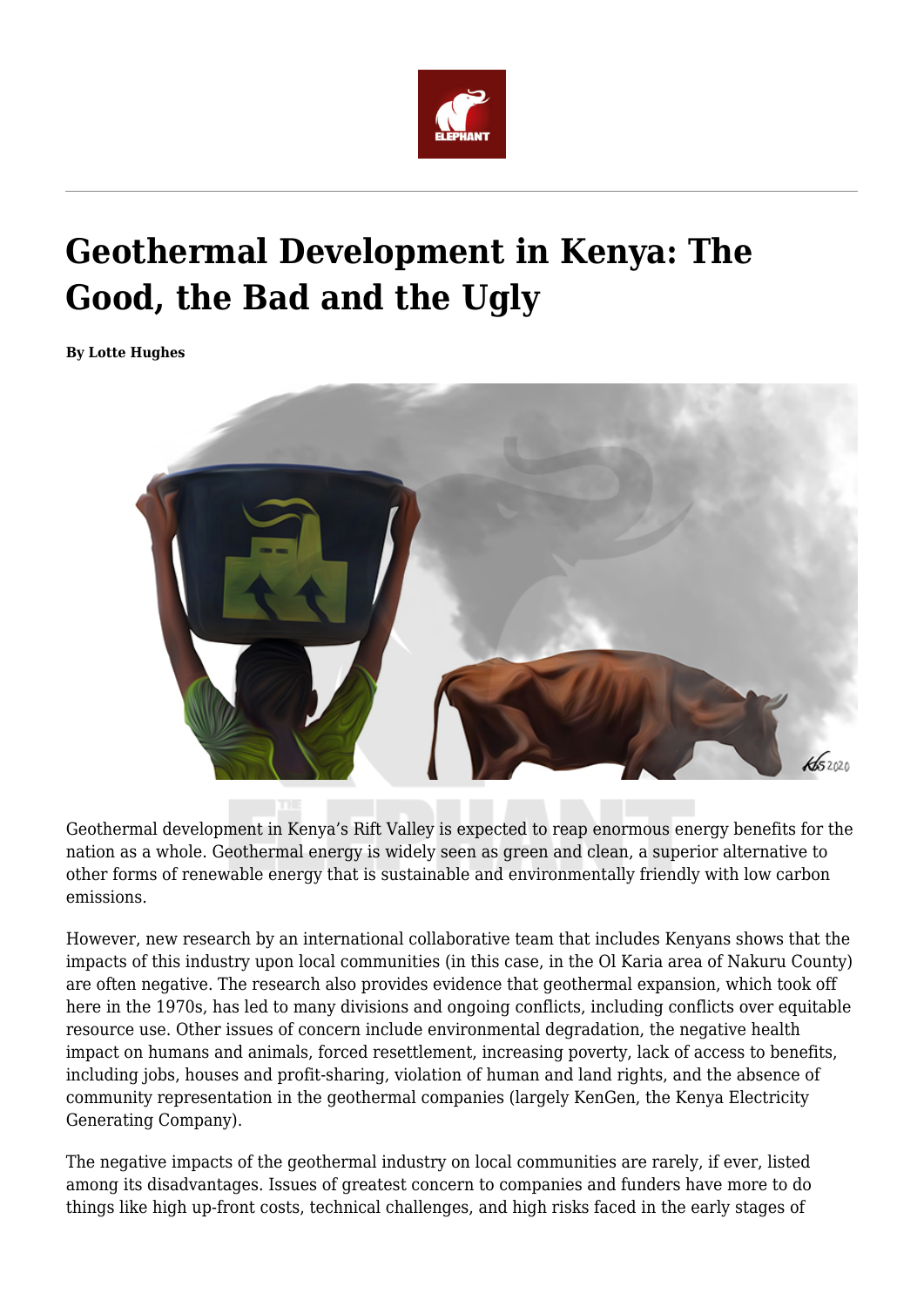

# **Geothermal Development in Kenya: The Good, the Bad and the Ugly**

**By Lotte Hughes**



Geothermal development in Kenya's Rift Valley is expected to reap enormous energy benefits for the nation as a whole. Geothermal energy is widely seen as green and clean, a superior alternative to other forms of renewable energy that is sustainable and environmentally friendly with low carbon emissions.

However, new research by an international collaborative team that includes Kenyans shows that the impacts of this industry upon local communities (in this case, in the Ol Karia area of Nakuru County) are often negative. The research also provides evidence that geothermal expansion, which took off here in the 1970s, has led to many divisions and ongoing conflicts, including conflicts over equitable resource use. Other issues of concern include environmental degradation, the negative health impact on humans and animals, forced resettlement, increasing poverty, lack of access to benefits, including jobs, houses and profit-sharing, violation of human and land rights, and the absence of community representation in the geothermal companies (largely KenGen, the Kenya Electricity Generating Company).

The negative impacts of the geothermal industry on local communities are rarely, if ever, listed among its disadvantages. Issues of greatest concern to companies and funders have more to do things like high up-front costs, technical challenges, and high risks faced in the early stages of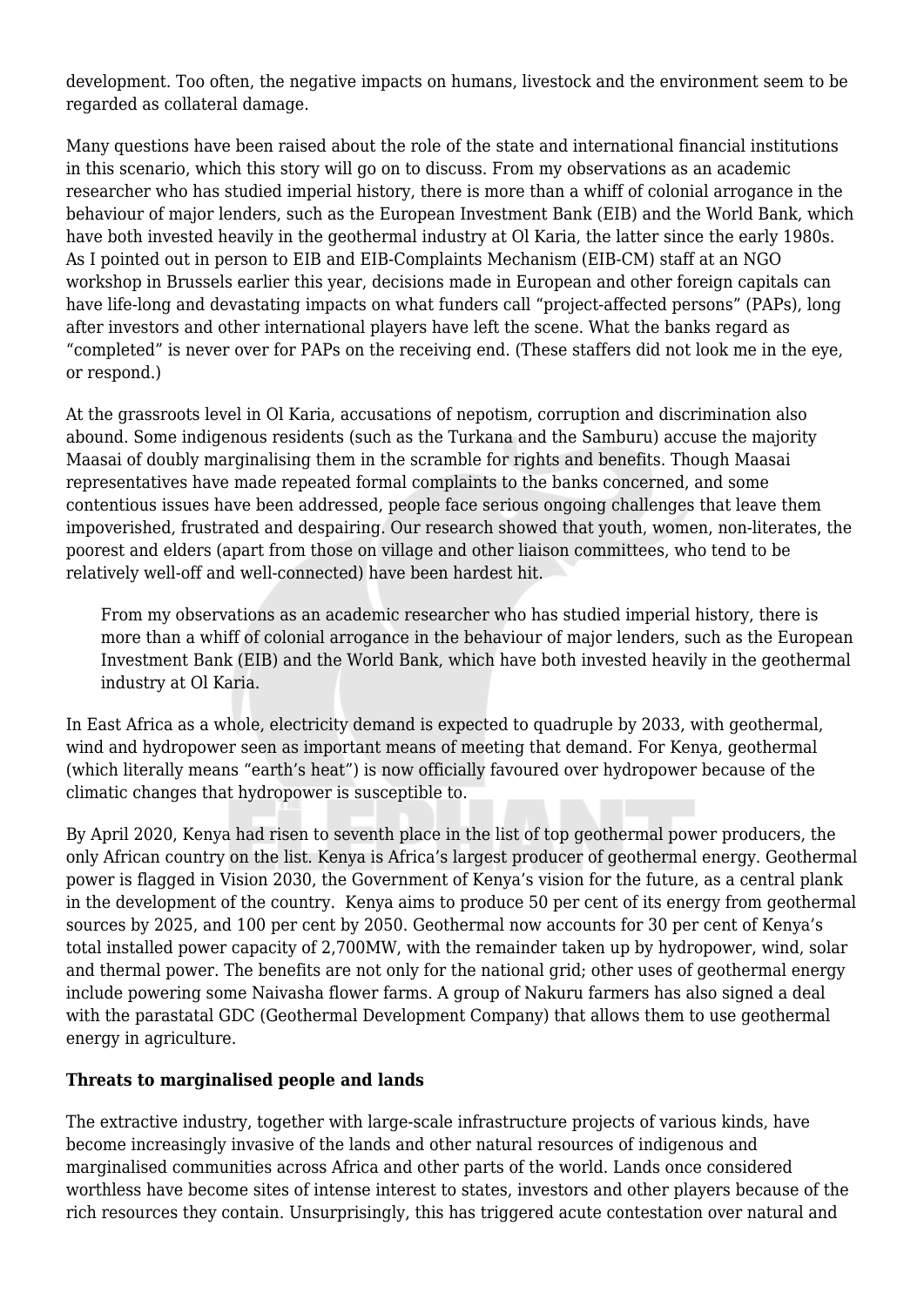development. Too often, the negative impacts on humans, livestock and the environment seem to be regarded as collateral damage.

Many questions have been raised about the role of the state and international financial institutions in this scenario, which this story will go on to discuss. From my observations as an academic researcher who has studied imperial history, there is more than a whiff of colonial arrogance in the behaviour of major lenders, such as the European Investment Bank (EIB) and the World Bank, which have both invested heavily in the geothermal industry at Ol Karia, the latter since the early 1980s. As I pointed out in person to EIB and EIB-Complaints Mechanism (EIB-CM) staff at an NGO workshop in Brussels earlier this year, decisions made in European and other foreign capitals can have life-long and devastating impacts on what funders call "project-affected persons" (PAPs), long after investors and other international players have left the scene. What the banks regard as "completed" is never over for PAPs on the receiving end. (These staffers did not look me in the eye, or respond.)

At the grassroots level in Ol Karia, accusations of nepotism, corruption and discrimination also abound. Some indigenous residents (such as the Turkana and the Samburu) accuse the majority Maasai of doubly marginalising them in the scramble for rights and benefits. Though Maasai representatives have made repeated formal complaints to the banks concerned, and some contentious issues have been addressed, people face serious ongoing challenges that leave them impoverished, frustrated and despairing. Our research showed that youth, women, non-literates, the poorest and elders (apart from those on village and other liaison committees, who tend to be relatively well-off and well-connected) have been hardest hit.

From my observations as an academic researcher who has studied imperial history, there is more than a whiff of colonial arrogance in the behaviour of major lenders, such as the European Investment Bank (EIB) and the World Bank, which have both invested heavily in the geothermal industry at Ol Karia.

In East Africa as a whole, electricity demand is expected to quadruple by 2033, with geothermal, wind and hydropower seen as important means of meeting that demand. For Kenya, geothermal (which literally means "earth's heat") is now officially favoured over hydropower because of the climatic changes that hydropower is susceptible to.

By April 2020, Kenya had risen to seventh place in the list of top geothermal power producers, the only African country on the list. Kenya is Africa's largest producer of geothermal energy. Geothermal power is flagged in Vision 2030, the Government of Kenya's vision for the future, as a central plank in the development of the country. Kenya aims to produce 50 per cent of its energy from geothermal sources by 2025, and 100 per cent by 2050. Geothermal now accounts for 30 per cent of Kenya's total installed power capacity of 2,700MW, with the remainder taken up by hydropower, wind, solar and thermal power. The benefits are not only for the national grid; other uses of geothermal energy include powering some Naivasha flower farms. A group of Nakuru farmers has also signed a deal with the parastatal GDC (Geothermal Development Company) that allows them to use geothermal energy in agriculture.

#### **Threats to marginalised people and lands**

The extractive industry, together with large-scale infrastructure projects of various kinds, have become increasingly invasive of the lands and other natural resources of indigenous and marginalised communities across Africa and other parts of the world. Lands once considered worthless have become sites of intense interest to states, investors and other players because of the rich resources they contain. Unsurprisingly, this has triggered acute contestation over natural and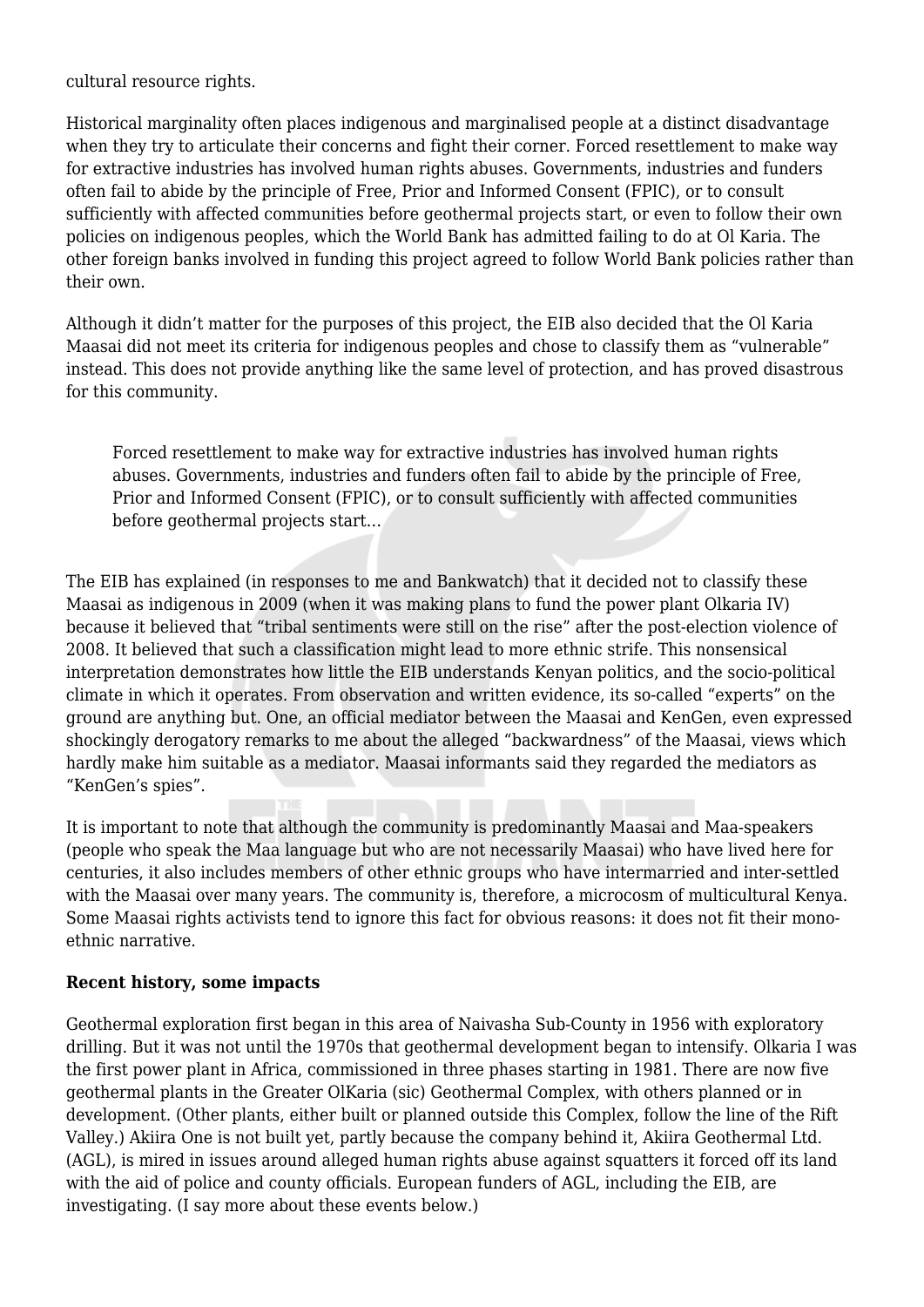cultural resource rights.

Historical marginality often places indigenous and marginalised people at a distinct disadvantage when they try to articulate their concerns and fight their corner. Forced resettlement to make way for extractive industries has involved human rights abuses. Governments, industries and funders often fail to abide by the principle of Free, Prior and Informed Consent (FPIC), or to consult sufficiently with affected communities before geothermal projects start, or even to follow their own policies on indigenous peoples, which the World Bank has admitted failing to do at Ol Karia. The other foreign banks involved in funding this project agreed to follow World Bank policies rather than their own.

Although it didn't matter for the purposes of this project, the EIB also decided that the Ol Karia Maasai did not meet its criteria for indigenous peoples and chose to classify them as "vulnerable" instead. This does not provide anything like the same level of protection, and has proved disastrous for this community.

Forced resettlement to make way for extractive industries has involved human rights abuses. Governments, industries and funders often fail to abide by the principle of Free, Prior and Informed Consent (FPIC), or to consult sufficiently with affected communities before geothermal projects start…

The EIB has explained (in responses to me and Bankwatch) that it decided not to classify these Maasai as indigenous in 2009 (when it was making plans to fund the power plant Olkaria IV) because it believed that "tribal sentiments were still on the rise" after the post-election violence of 2008. It believed that such a classification might lead to more ethnic strife. This nonsensical interpretation demonstrates how little the EIB understands Kenyan politics, and the socio-political climate in which it operates. From observation and written evidence, its so-called "experts" on the ground are anything but. One, an official mediator between the Maasai and KenGen, even expressed shockingly derogatory remarks to me about the alleged "backwardness" of the Maasai, views which hardly make him suitable as a mediator. Maasai informants said they regarded the mediators as "KenGen's spies".

It is important to note that although the community is predominantly Maasai and Maa-speakers (people who speak the Maa language but who are not necessarily Maasai) who have lived here for centuries, it also includes members of other ethnic groups who have intermarried and inter-settled with the Maasai over many years. The community is, therefore, a microcosm of multicultural Kenya. Some Maasai rights activists tend to ignore this fact for obvious reasons: it does not fit their monoethnic narrative.

#### **Recent history, some impacts**

Geothermal exploration first began in this area of Naivasha Sub-County in 1956 with exploratory drilling. But it was not until the 1970s that geothermal development began to intensify. Olkaria I was the first power plant in Africa, commissioned in three phases starting in 1981. There are now five geothermal plants in the Greater OlKaria (sic) Geothermal Complex, with others planned or in development. (Other plants, either built or planned outside this Complex, follow the line of the Rift Valley.) Akiira One is not built yet, partly because the company behind it, Akiira Geothermal Ltd. (AGL), is mired in issues around alleged human rights abuse against squatters it forced off its land with the aid of police and county officials. European funders of AGL, including the EIB, are investigating. (I say more about these events below.)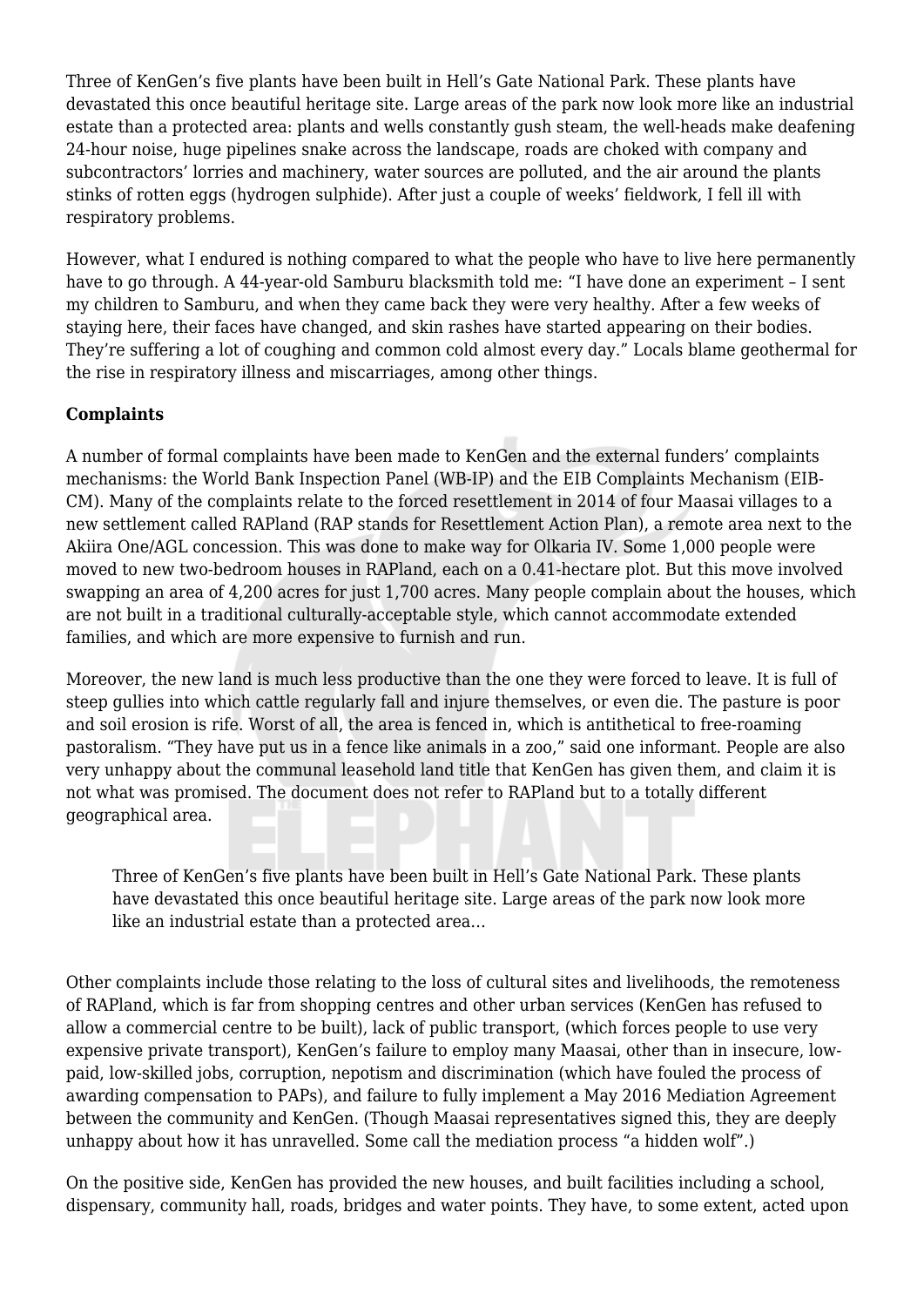Three of KenGen's five plants have been built in Hell's Gate National Park. These plants have devastated this once beautiful heritage site. Large areas of the park now look more like an industrial estate than a protected area: plants and wells constantly gush steam, the well-heads make deafening 24-hour noise, huge pipelines snake across the landscape, roads are choked with company and subcontractors' lorries and machinery, water sources are polluted, and the air around the plants stinks of rotten eggs (hydrogen sulphide). After just a couple of weeks' fieldwork, I fell ill with respiratory problems.

However, what I endured is nothing compared to what the people who have to live here permanently have to go through. A 44-year-old Samburu blacksmith told me: "I have done an experiment - I sent my children to Samburu, and when they came back they were very healthy. After a few weeks of staying here, their faces have changed, and skin rashes have started appearing on their bodies. They're suffering a lot of coughing and common cold almost every day." Locals blame geothermal for the rise in respiratory illness and miscarriages, among other things.

## **Complaints**

A number of formal complaints have been made to KenGen and the external funders' complaints mechanisms: the World Bank Inspection Panel (WB-IP) and the EIB Complaints Mechanism (EIB-CM). Many of the complaints relate to the forced resettlement in 2014 of four Maasai villages to a new settlement called RAPland (RAP stands for Resettlement Action Plan), a remote area next to the Akiira One/AGL concession. This was done to make way for Olkaria IV. Some 1,000 people were moved to new two-bedroom houses in RAPland, each on a 0.41-hectare plot. But this move involved swapping an area of 4,200 acres for just 1,700 acres. Many people complain about the houses, which are not built in a traditional culturally-acceptable style, which cannot accommodate extended families, and which are more expensive to furnish and run.

Moreover, the new land is much less productive than the one they were forced to leave. It is full of steep gullies into which cattle regularly fall and injure themselves, or even die. The pasture is poor and soil erosion is rife. Worst of all, the area is fenced in, which is antithetical to free-roaming pastoralism. "They have put us in a fence like animals in a zoo," said one informant. People are also very unhappy about the communal leasehold land title that KenGen has given them, and claim it is not what was promised. The document does not refer to RAPland but to a totally different geographical area.

Three of KenGen's five plants have been built in Hell's Gate National Park. These plants have devastated this once beautiful heritage site. Large areas of the park now look more like an industrial estate than a protected area…

Other complaints include those relating to the loss of cultural sites and livelihoods, the remoteness of RAPland, which is far from shopping centres and other urban services (KenGen has refused to allow a commercial centre to be built), lack of public transport, (which forces people to use very expensive private transport), KenGen's failure to employ many Maasai, other than in insecure, lowpaid, low-skilled jobs, corruption, nepotism and discrimination (which have fouled the process of awarding compensation to PAPs), and failure to fully implement a May 2016 Mediation Agreement between the community and KenGen. (Though Maasai representatives signed this, they are deeply unhappy about how it has unravelled. Some call the mediation process "a hidden wolf".)

On the positive side, KenGen has provided the new houses, and built facilities including a school, dispensary, community hall, roads, bridges and water points. They have, to some extent, acted upon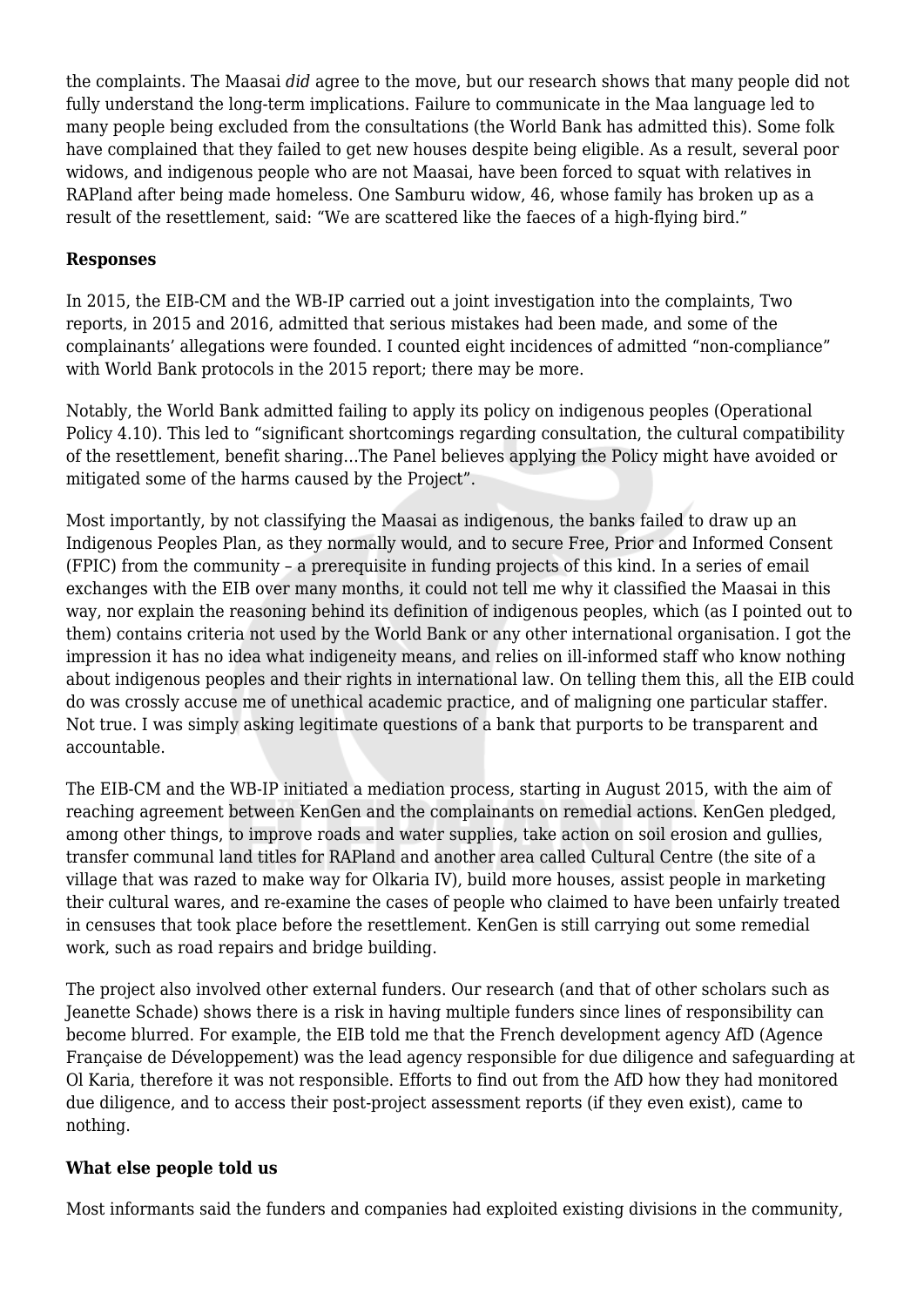the complaints. The Maasai *did* agree to the move, but our research shows that many people did not fully understand the long-term implications. Failure to communicate in the Maa language led to many people being excluded from the consultations (the World Bank has admitted this). Some folk have complained that they failed to get new houses despite being eligible. As a result, several poor widows, and indigenous people who are not Maasai, have been forced to squat with relatives in RAPland after being made homeless. One Samburu widow, 46, whose family has broken up as a result of the resettlement, said: "We are scattered like the faeces of a high-flying bird."

### **Responses**

In 2015, the EIB-CM and the WB-IP carried out a joint investigation into the complaints, Two reports, in 2015 and 2016, admitted that serious mistakes had been made, and some of the complainants' allegations were founded. I counted eight incidences of admitted "non-compliance" with World Bank protocols in the 2015 report; there may be more.

Notably, the World Bank admitted failing to apply its policy on indigenous peoples (Operational Policy 4.10). This led to "significant shortcomings regarding consultation, the cultural compatibility of the resettlement, benefit sharing…The Panel believes applying the Policy might have avoided or mitigated some of the harms caused by the Project".

Most importantly, by not classifying the Maasai as indigenous, the banks failed to draw up an Indigenous Peoples Plan, as they normally would, and to secure Free, Prior and Informed Consent (FPIC) from the community – a prerequisite in funding projects of this kind. In a series of email exchanges with the EIB over many months, it could not tell me why it classified the Maasai in this way, nor explain the reasoning behind its definition of indigenous peoples, which (as I pointed out to them) contains criteria not used by the World Bank or any other international organisation. I got the impression it has no idea what indigeneity means, and relies on ill-informed staff who know nothing about indigenous peoples and their rights in international law. On telling them this, all the EIB could do was crossly accuse me of unethical academic practice, and of maligning one particular staffer. Not true. I was simply asking legitimate questions of a bank that purports to be transparent and accountable.

The EIB-CM and the WB-IP initiated a mediation process, starting in August 2015, with the aim of reaching agreement between KenGen and the complainants on remedial actions. KenGen pledged, among other things, to improve roads and water supplies, take action on soil erosion and gullies, transfer communal land titles for RAPland and another area called Cultural Centre (the site of a village that was razed to make way for Olkaria IV), build more houses, assist people in marketing their cultural wares, and re-examine the cases of people who claimed to have been unfairly treated in censuses that took place before the resettlement. KenGen is still carrying out some remedial work, such as road repairs and bridge building.

The project also involved other external funders. Our research (and that of other scholars such as Jeanette Schade) shows there is a risk in having multiple funders since lines of responsibility can become blurred. For example, the EIB told me that the French development agency AfD (Agence Française de Développement) was the lead agency responsible for due diligence and safeguarding at Ol Karia, therefore it was not responsible. Efforts to find out from the AfD how they had monitored due diligence, and to access their post-project assessment reports (if they even exist), came to nothing.

#### **What else people told us**

Most informants said the funders and companies had exploited existing divisions in the community,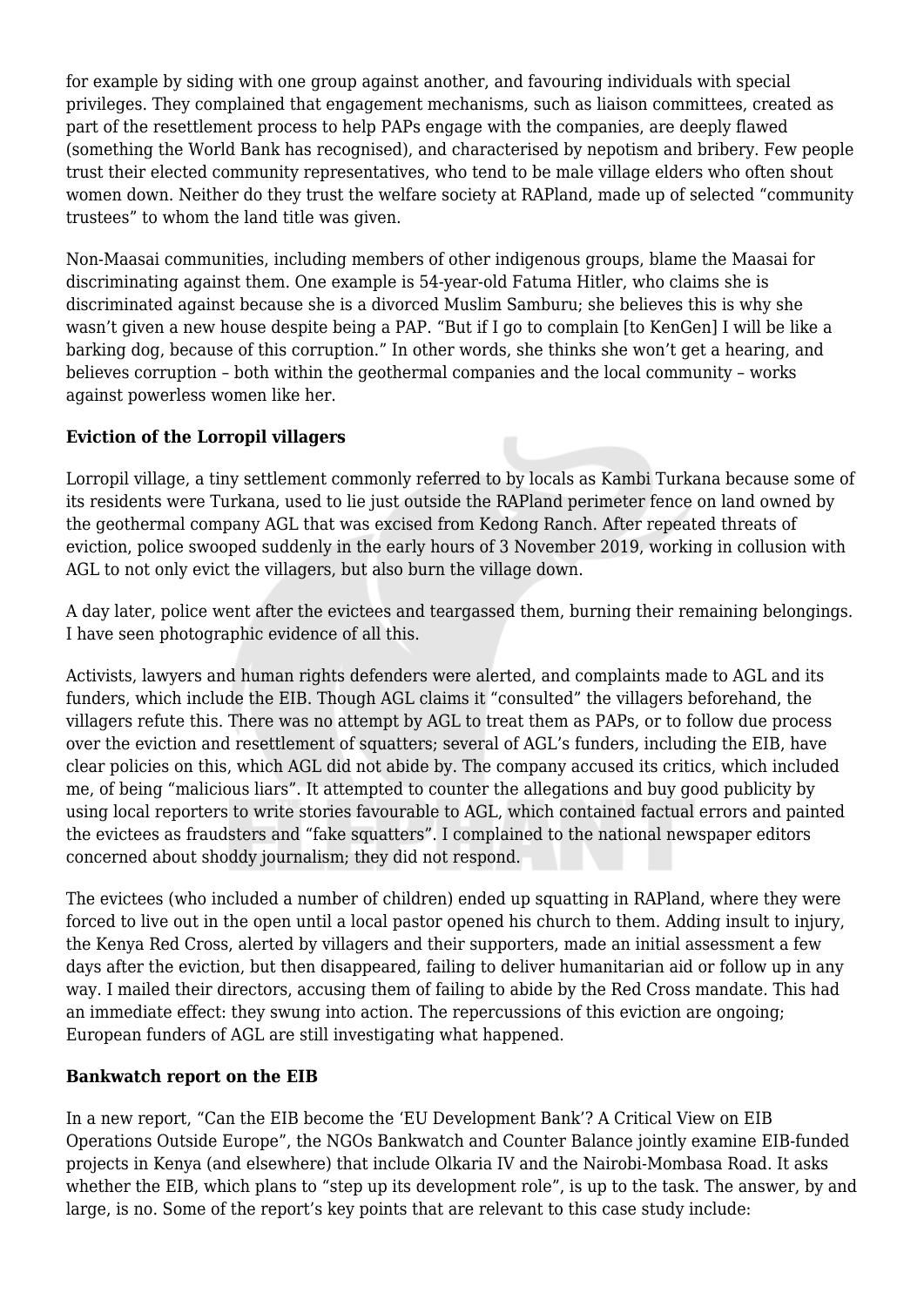for example by siding with one group against another, and favouring individuals with special privileges. They complained that engagement mechanisms, such as liaison committees, created as part of the resettlement process to help PAPs engage with the companies, are deeply flawed (something the World Bank has recognised), and characterised by nepotism and bribery. Few people trust their elected community representatives, who tend to be male village elders who often shout women down. Neither do they trust the welfare society at RAPland, made up of selected "community trustees" to whom the land title was given.

Non-Maasai communities, including members of other indigenous groups, blame the Maasai for discriminating against them. One example is 54-year-old Fatuma Hitler, who claims she is discriminated against because she is a divorced Muslim Samburu; she believes this is why she wasn't given a new house despite being a PAP. "But if I go to complain [to KenGen] I will be like a barking dog, because of this corruption." In other words, she thinks she won't get a hearing, and believes corruption – both within the geothermal companies and the local community – works against powerless women like her.

## **Eviction of the Lorropil villagers**

Lorropil village, a tiny settlement commonly referred to by locals as Kambi Turkana because some of its residents were Turkana, used to lie just outside the RAPland perimeter fence on land owned by the geothermal company AGL that was excised from Kedong Ranch. After repeated threats of eviction, police swooped suddenly in the early hours of 3 November 2019, working in collusion with AGL to not only evict the villagers, but also burn the village down.

A day later, police went after the evictees and teargassed them, burning their remaining belongings. I have seen photographic evidence of all this.

Activists, lawyers and human rights defenders were alerted, and complaints made to AGL and its funders, which include the EIB. Though AGL claims it "consulted" the villagers beforehand, the villagers refute this. There was no attempt by AGL to treat them as PAPs, or to follow due process over the eviction and resettlement of squatters; several of AGL's funders, including the EIB, have clear policies on this, which AGL did not abide by. The company accused its critics, which included me, of being "malicious liars". It attempted to counter the allegations and buy good publicity by using local reporters to write stories favourable to AGL, which contained factual errors and painted the evictees as fraudsters and "fake squatters". I complained to the national newspaper editors concerned about shoddy journalism; they did not respond.

The evictees (who included a number of children) ended up squatting in RAPland, where they were forced to live out in the open until a local pastor opened his church to them. Adding insult to injury, the Kenya Red Cross, alerted by villagers and their supporters, made an initial assessment a few days after the eviction, but then disappeared, failing to deliver humanitarian aid or follow up in any way. I mailed their directors, accusing them of failing to abide by the Red Cross mandate. This had an immediate effect: they swung into action. The repercussions of this eviction are ongoing; European funders of AGL are still investigating what happened.

## **Bankwatch report on the EIB**

In a new report, "Can the EIB become the 'EU Development Bank'? A Critical View on EIB Operations Outside Europe", the NGOs Bankwatch and Counter Balance jointly examine EIB-funded projects in Kenya (and elsewhere) that include Olkaria IV and the Nairobi-Mombasa Road. It asks whether the EIB, which plans to "step up its development role", is up to the task. The answer, by and large, is no. Some of the report's key points that are relevant to this case study include: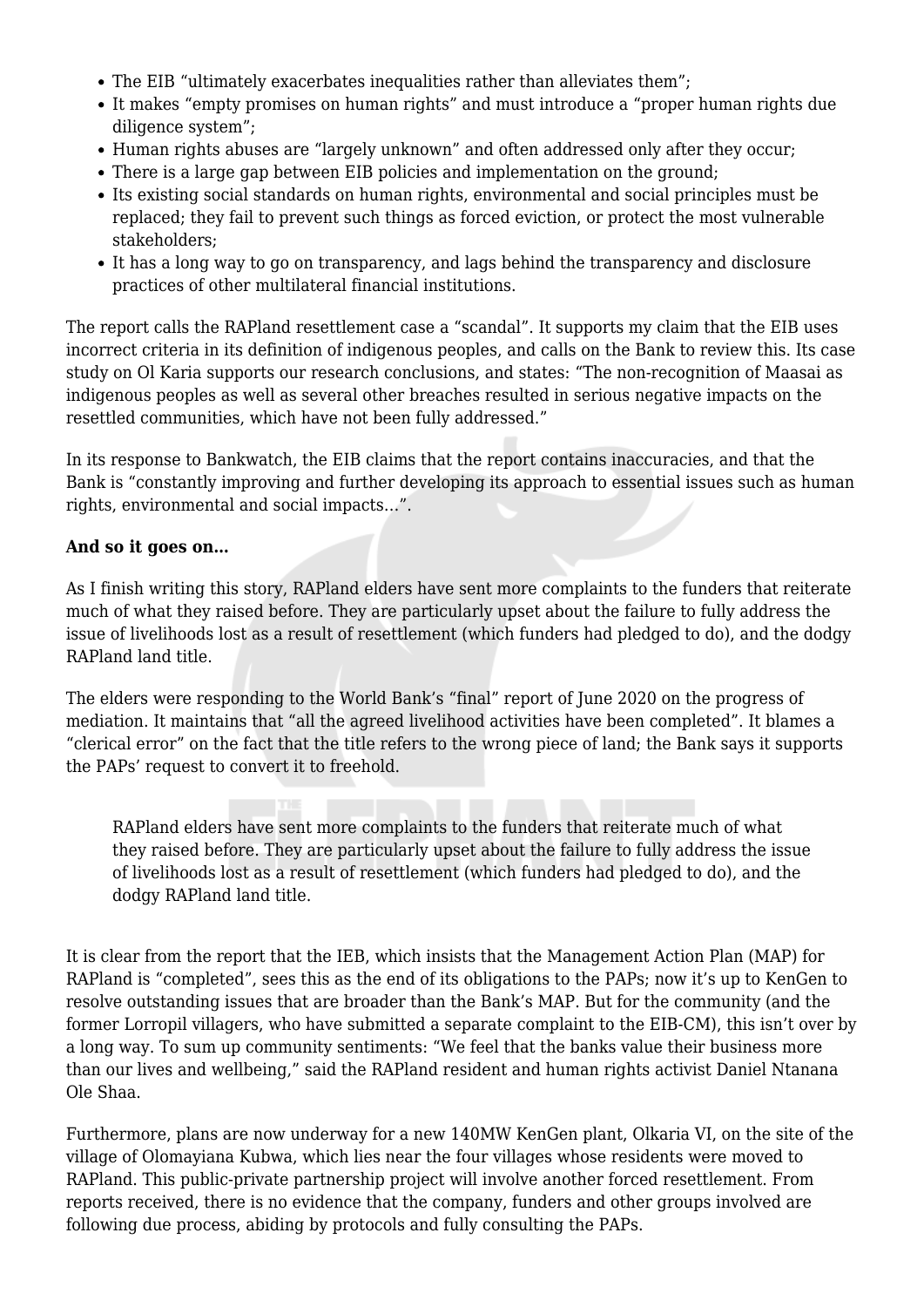- The EIB "ultimately exacerbates inequalities rather than alleviates them":
- It makes "empty promises on human rights" and must introduce a "proper human rights due diligence system";
- Human rights abuses are "largely unknown" and often addressed only after they occur;
- There is a large gap between EIB policies and implementation on the ground;
- Its existing social standards on human rights, environmental and social principles must be replaced; they fail to prevent such things as forced eviction, or protect the most vulnerable stakeholders;
- It has a long way to go on transparency, and lags behind the transparency and disclosure practices of other multilateral financial institutions.

The report calls the RAPland resettlement case a "scandal". It supports my claim that the EIB uses incorrect criteria in its definition of indigenous peoples, and calls on the Bank to review this. Its case study on Ol Karia supports our research conclusions, and states: "The non-recognition of Maasai as indigenous peoples as well as several other breaches resulted in serious negative impacts on the resettled communities, which have not been fully addressed."

In its response to Bankwatch, the EIB claims that the report contains inaccuracies, and that the Bank is "constantly improving and further developing its approach to essential issues such as human rights, environmental and social impacts…".

#### **And so it goes on…**

As I finish writing this story, RAPland elders have sent more complaints to the funders that reiterate much of what they raised before. They are particularly upset about the failure to fully address the issue of livelihoods lost as a result of resettlement (which funders had pledged to do), and the dodgy RAPland land title.

The elders were responding to the World Bank's "final" report of June 2020 on the progress of mediation. It maintains that "all the agreed livelihood activities have been completed". It blames a "clerical error" on the fact that the title refers to the wrong piece of land; the Bank says it supports the PAPs' request to convert it to freehold.

RAPland elders have sent more complaints to the funders that reiterate much of what they raised before. They are particularly upset about the failure to fully address the issue of livelihoods lost as a result of resettlement (which funders had pledged to do), and the dodgy RAPland land title.

It is clear from the report that the IEB, which insists that the Management Action Plan (MAP) for RAPland is "completed", sees this as the end of its obligations to the PAPs; now it's up to KenGen to resolve outstanding issues that are broader than the Bank's MAP. But for the community (and the former Lorropil villagers, who have submitted a separate complaint to the EIB-CM), this isn't over by a long way. To sum up community sentiments: "We feel that the banks value their business more than our lives and wellbeing," said the RAPland resident and human rights activist Daniel Ntanana Ole Shaa.

Furthermore, plans are now underway for a new 140MW KenGen plant, Olkaria VI, on the site of the village of Olomayiana Kubwa, which lies near the four villages whose residents were moved to RAPland. This public-private partnership project will involve another forced resettlement. From reports received, there is no evidence that the company, funders and other groups involved are following due process, abiding by protocols and fully consulting the PAPs.